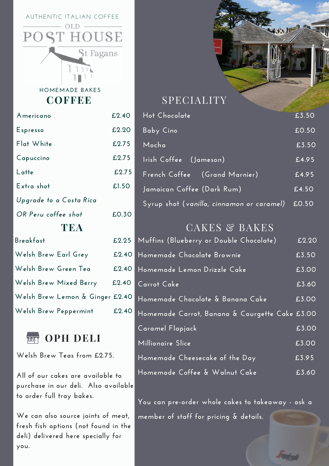AUTHENTIC ITALIAN COFFEE  $OLD$ 

 $P($ 

HOUSE

**St Fagans** 

**COFFEE HOMEMADE BAKES**

| Americano                       | £2.40 |  |  |  |
|---------------------------------|-------|--|--|--|
| Espresso                        | £2.20 |  |  |  |
| Flat White                      | £2.75 |  |  |  |
| Capuccino                       | £2.75 |  |  |  |
| L atte                          | £2.75 |  |  |  |
| Extra shot                      | £1.50 |  |  |  |
| Upgrade to a Costa Rica         |       |  |  |  |
| OR Peru coffee shot             | £0.30 |  |  |  |
| TEA                             |       |  |  |  |
| Breakfast                       | £2.25 |  |  |  |
| Welsh Brew Earl Grey            | £2.40 |  |  |  |
| Welsh Brew Green Tea            | £2.40 |  |  |  |
| Welsh Brew Mixed Berry          | £2.40 |  |  |  |
| Welsh Brew Lemon & Ginger £2.40 |       |  |  |  |
| Welsh Brew Peppermint           | £2.40 |  |  |  |



**Welsh Brew Teas from £2.75.**

**All of our cakes are available to purchase in our deli. Also available to order full tray bakes.**

**We can also source joints of meat, fresh fish options (not found in the deli) delivered here specially for you.**



### SPECIALITY

| Hot Chocolate                             | £3.50  |
|-------------------------------------------|--------|
| Baby Cino                                 | £0.50  |
| Mocha                                     | £3.50  |
| Irish Coffee (Jameson)                    | f.4.95 |
| French Coffee (Grand Marnier)             | £4.95  |
| Jamaican Coffee (Dark Rum)                | £4.50  |
| Syrup shot (vanilla, cinnamon or caramel) | £0.50  |

## CAKES & BAKES

| Muffins (Blueberry or Double Chocolate)        | £2.20 |
|------------------------------------------------|-------|
| Homemade Chocolate Brownie                     | £3.50 |
| Homemade Lemon Drizzle Cake                    | £3.00 |
| Carrot Cake                                    | £3.60 |
| Homemade Chocolate & Banana Cake               | £3.00 |
| Homemade Carrot, Banana & Courgette Cake £3.00 |       |
| Caramel Flapjack                               | £3.00 |
| Millionaire Slice                              | £3.00 |
| Homemade Cheesecake of the Day                 | £3.95 |
| Homemade Coffee & Walnut Cake                  | £3.60 |

**You can pre-order whole cakes to takeaway - ask a member of staff for pricing & details.**